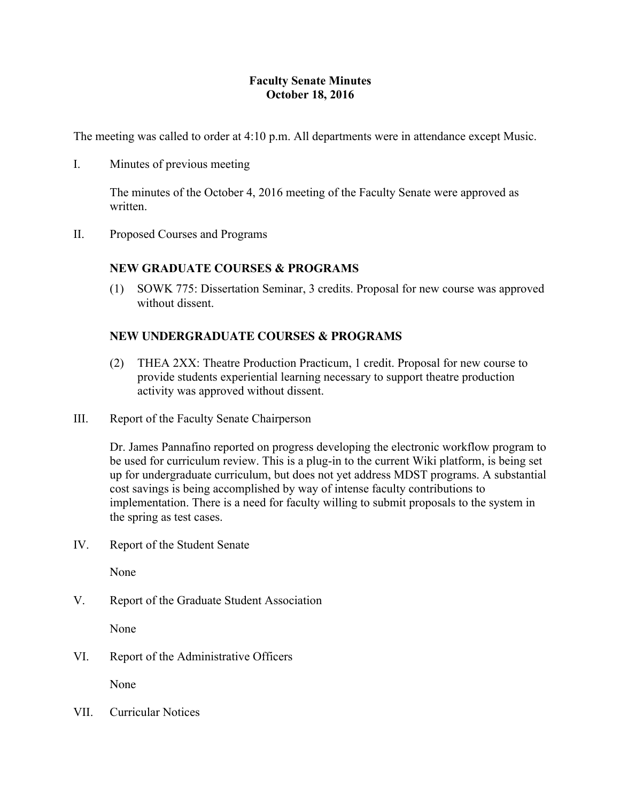# **Faculty Senate Minutes October 18, 2016**

The meeting was called to order at 4:10 p.m. All departments were in attendance except Music.

I. Minutes of previous meeting

The minutes of the October 4, 2016 meeting of the Faculty Senate were approved as written.

II. Proposed Courses and Programs

# **NEW GRADUATE COURSES & PROGRAMS**

(1) SOWK 775: Dissertation Seminar, 3 credits. Proposal for new course was approved without dissent.

# **NEW UNDERGRADUATE COURSES & PROGRAMS**

- (2) THEA 2XX: Theatre Production Practicum, 1 credit. Proposal for new course to provide students experiential learning necessary to support theatre production activity was approved without dissent.
- III. Report of the Faculty Senate Chairperson

Dr. James Pannafino reported on progress developing the electronic workflow program to be used for curriculum review. This is a plug-in to the current Wiki platform, is being set up for undergraduate curriculum, but does not yet address MDST programs. A substantial cost savings is being accomplished by way of intense faculty contributions to implementation. There is a need for faculty willing to submit proposals to the system in the spring as test cases.

IV. Report of the Student Senate

None

V. Report of the Graduate Student Association

None

VI. Report of the Administrative Officers

None

VII. Curricular Notices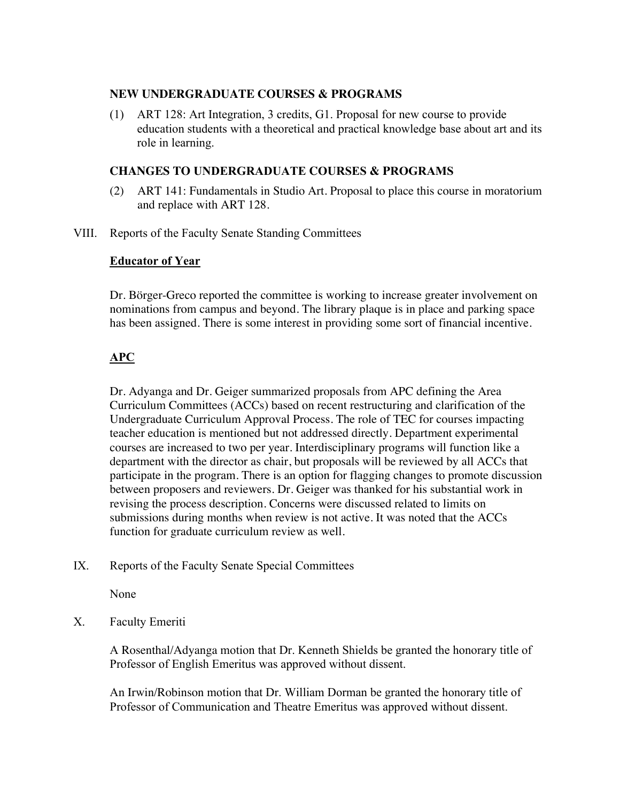## **NEW UNDERGRADUATE COURSES & PROGRAMS**

(1) ART 128: Art Integration, 3 credits, G1. Proposal for new course to provide education students with a theoretical and practical knowledge base about art and its role in learning.

## **CHANGES TO UNDERGRADUATE COURSES & PROGRAMS**

- (2) ART 141: Fundamentals in Studio Art. Proposal to place this course in moratorium and replace with ART 128.
- VIII. Reports of the Faculty Senate Standing Committees

## **Educator of Year**

Dr. Börger-Greco reported the committee is working to increase greater involvement on nominations from campus and beyond. The library plaque is in place and parking space has been assigned. There is some interest in providing some sort of financial incentive.

# **APC**

Dr. Adyanga and Dr. Geiger summarized proposals from APC defining the Area Curriculum Committees (ACCs) based on recent restructuring and clarification of the Undergraduate Curriculum Approval Process. The role of TEC for courses impacting teacher education is mentioned but not addressed directly. Department experimental courses are increased to two per year. Interdisciplinary programs will function like a department with the director as chair, but proposals will be reviewed by all ACCs that participate in the program. There is an option for flagging changes to promote discussion between proposers and reviewers. Dr. Geiger was thanked for his substantial work in revising the process description. Concerns were discussed related to limits on submissions during months when review is not active. It was noted that the ACCs function for graduate curriculum review as well.

IX. Reports of the Faculty Senate Special Committees

None

X. Faculty Emeriti

A Rosenthal/Adyanga motion that Dr. Kenneth Shields be granted the honorary title of Professor of English Emeritus was approved without dissent.

An Irwin/Robinson motion that Dr. William Dorman be granted the honorary title of Professor of Communication and Theatre Emeritus was approved without dissent.